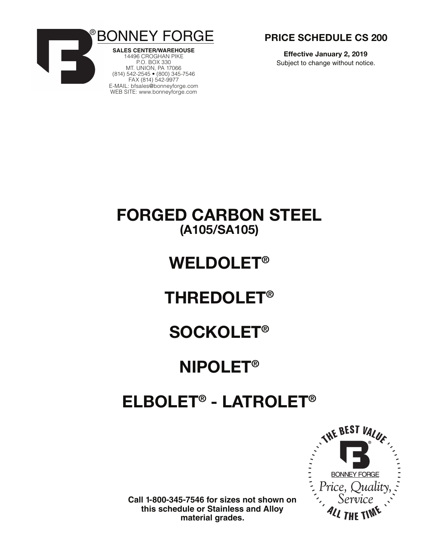



14496 CROGHAN PIKE P.O. BOX 330 MT. UNION, PA 17066 (814) 542-2545 • (800) 345-7546 FAX (814) 542-9977 E-MAIl: bfsales@bonneyforge.com WEB SITE: www.bonneyforge.com



**Effective January 2, 2019** Subject to change without notice.

## **FORGED CARBON STEEL (A105/SA105)**

# **WELDOLET®**

# **THREDOLET®**

# **SOCKOLET®**

# **NIPOLET®**

# **ELBOLET® - LATROLET®**



**Call 1-800-345-7546 for sizes not shown on this schedule or Stainless and Alloy material grades.**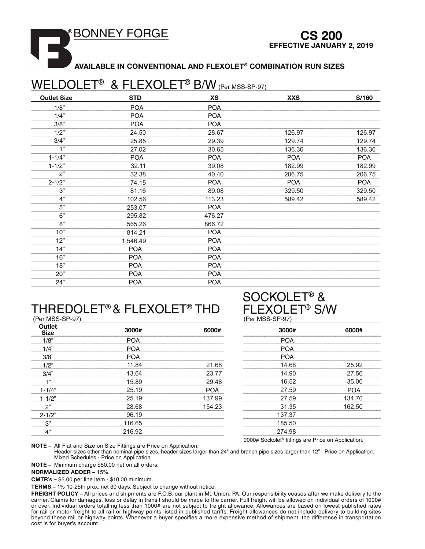**BONNEY FORGE** 

**AVAILABLE IN CONVENTIONAL AND FLEXOLET® COMBINATION RUN SIZES** 

### WELDOLET<sup>®</sup> & FLEXOLET<sup>®</sup> B/W (Per MSS-SP-97)

| <b>Outlet Size</b> | <b>STD</b> | XS         | <b>XXS</b> | S/160      |
|--------------------|------------|------------|------------|------------|
| 1/8"               | <b>POA</b> | <b>POA</b> |            |            |
| 1/4"               | <b>POA</b> | <b>POA</b> |            |            |
| 3/8"               | <b>POA</b> | <b>POA</b> |            |            |
| 1/2"               | 24.50      | 28.67      | 126.97     | 126.97     |
| 3/4"               | 25.85      | 29.39      | 129.74     | 129.74     |
| 1"                 | 27.02      | 30.65      | 136.36     | 136.36     |
| $1 - 1/4"$         | <b>POA</b> | <b>POA</b> | <b>POA</b> | <b>POA</b> |
| $1 - 1/2"$         | 32.11      | 39.08      | 182.99     | 182.99     |
| 2"                 | 32.38      | 40.40      | 206.75     | 206.75     |
| $2 - 1/2"$         | 74.15      | <b>POA</b> | <b>POA</b> | <b>POA</b> |
| 3"                 | 81.16      | 89.08      | 329.50     | 329.50     |
| 4"                 | 102.56     | 113.23     | 589.42     | 589.42     |
| $\overline{5}$     | 253.07     | <b>POA</b> |            |            |
| 6"                 | 295.82     | 476.27     |            |            |
| 8"                 | 565.26     | 866.72     |            |            |
| 10"                | 814.21     | <b>POA</b> |            |            |
| 12"                | 1,546.49   | <b>POA</b> |            |            |
| 14"                | <b>POA</b> | <b>POA</b> |            |            |
| 16"                | <b>POA</b> | <b>POA</b> |            |            |
| 18"                | <b>POA</b> | <b>POA</b> |            |            |
| $20^{n}$           | <b>POA</b> | <b>POA</b> |            |            |
| 24"                | <b>POA</b> | <b>POA</b> |            |            |

### THREDOLET® & FLEXOLET® THD (Per MSS-SP-97)

#### **Outlet** 3000# 6000# **Size**  $1/8"$ POA  $1/4"$ **POA**  $3/8"$ **POA**  $1/2$ " 21.68 11.84  $3/4"$ 13.64 23.77  $1"$ 15.89 29.48  $1 - 1/4"$ 25.19 **POA** 25.19 137.99  $1 - 1/2"$ 28.68  $2"$ 154.23 96.19  $2 - 1/2"$  $3"$ 116.65  $4"$ 216.92

### **SOCKOLET<sup>®</sup> & EXOLET<sup>®</sup> S/W**  $MCCCDO7$

| ן וכ-סכיטואו וס |            |
|-----------------|------------|
| 3000#           | 6000#      |
| <b>POA</b>      |            |
| <b>POA</b>      |            |
| <b>POA</b>      |            |
| 14.68           | 25.92      |
| 14.90           | 27.56      |
| 16.52           | 35.00      |
| 27.59           | <b>POA</b> |
| 27.59           | 134.70     |
| 31.35           | 162.50     |
| 137.37          |            |
| 185.50          |            |
| 274.98          |            |
|                 |            |

9000# Sockolet<sup>®</sup> fittings are Price on Application.

NOTE - All Flat and Size on Size Fittings are Price on Application.

Header sizes other than nominal pipe sizes, header sizes larger than 24" and branch pipe sizes larger than 12" - Price on Application. Mixed Schedules - Price on Application.

NOTE - Minimum charge \$50.00 net on all orders.

**NORMALIZED ADDER - 15%.** 

CMTR's - \$5.00 per line item - \$10.00 minimum.

TERMS - 1% 10-25th prox. net 30 days. Subject to change without notice.

FREIGHT POLICY - All prices and shipments are F.O.B. our plant in Mt. Union, PA. Our responsibility ceases after we make delivery to the carrier. Claims for damages, loss or delay in transit should be made to the carrier. Full freight will be allowed on individual orders of 1000# or over. Individual orders totalling less than 1000# are not subject to freight allowance. Allowances are based on lowest published rates for rail or motor freight to all rail or highway points listed in published tariffs. Freight allowances do not include delivery to building sites beyond these rail or highway points. Whenever a buyer specifies a more expensive method of shipment, the difference in transportation cost is for buyer's account.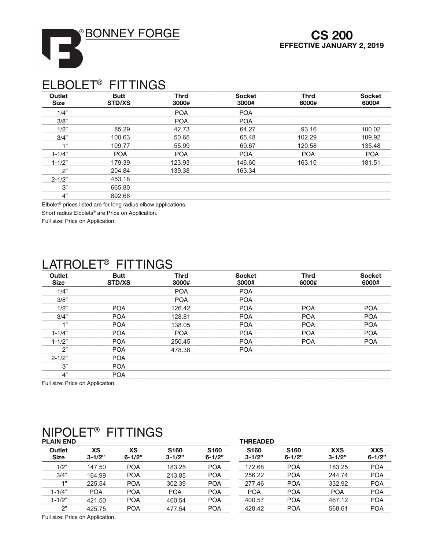**BONNEY FORGE** 



### **ELBOLET<sup>®</sup> FITTINGS**

I3

| <b>Outlet</b><br><b>Size</b> | <b>Butt</b><br>STD/XS | <b>Thrd</b><br>3000# | <b>Socket</b><br>3000# | <b>Thrd</b><br>6000# | <b>Socket</b><br>6000# |
|------------------------------|-----------------------|----------------------|------------------------|----------------------|------------------------|
| 1/4"                         |                       | <b>POA</b>           | <b>POA</b>             |                      |                        |
| 3/8"                         |                       | <b>POA</b>           | <b>POA</b>             |                      |                        |
| 1/2"                         | 85.29                 | 42.73                | 64.27                  | 93.16                | 100.02                 |
| 3/4"                         | 100.63                | 50.65                | 65.48                  | 102.29               | 109.92                 |
| $-111$                       | 109.77                | 55.99                | 69.67                  | 120.58               | 135.48                 |
| $1 - 1/4"$                   | <b>POA</b>            | <b>POA</b>           | <b>POA</b>             | <b>POA</b>           | <b>POA</b>             |
| $1 - 1/2"$                   | 179.39                | 123.93               | 146.60                 | 163.10               | 181.51                 |
| 2"                           | 204.84                | 139.38               | 163.34                 |                      |                        |
| $2 - 1/2"$                   | 453.18                |                      |                        |                      |                        |
| 3"                           | 665.80                |                      |                        |                      |                        |
| 4"                           | 892.68                |                      |                        |                      |                        |

Elbolet<sup>®</sup> prices listed are for long radius elbow applications.

Short radius Elbolets<sup>®</sup> are Price on Application.

Full size: Price on Application.

### I ATROLET<sup>®</sup> FITTINGS

| <b>Outlet</b><br><b>Size</b> | <b>Butt</b><br><b>STD/XS</b> | <b>Thrd</b><br>3000# | <b>Socket</b><br>3000# | <b>Thrd</b><br>6000# | <b>Socket</b><br>6000# |
|------------------------------|------------------------------|----------------------|------------------------|----------------------|------------------------|
| 1/4"                         |                              | <b>POA</b>           | <b>POA</b>             |                      |                        |
| 3/8"                         |                              | <b>POA</b>           | <b>POA</b>             |                      |                        |
| 1/2"                         | <b>POA</b>                   | 126.42               | <b>POA</b>             | <b>POA</b>           | <b>POA</b>             |
| 3/4"                         | <b>POA</b>                   | 128.81               | <b>POA</b>             | <b>POA</b>           | <b>POA</b>             |
| $-1, 33$                     | <b>POA</b>                   | 138.05               | <b>POA</b>             | <b>POA</b>           | <b>POA</b>             |
| $1 - 1/4"$                   | <b>POA</b>                   | <b>POA</b>           | <b>POA</b>             | <b>POA</b>           | <b>POA</b>             |
| $1 - 1/2"$                   | <b>POA</b>                   | 250.45               | <b>POA</b>             | <b>POA</b>           | <b>POA</b>             |
| 2"                           | <b>POA</b>                   | 478.38               | <b>POA</b>             |                      |                        |
| $2 - 1/2"$                   | <b>POA</b>                   |                      |                        |                      |                        |
| 3"                           | <b>POA</b>                   |                      |                        |                      |                        |
| 4"                           | <b>POA</b>                   |                      |                        |                      |                        |

Full size: Price on Application.

### NIPOLET<sup>®</sup> FITTINGS

| .<br>.<br><b>PLAIN END</b> |                  |                  |                                | <b>THREADED</b>                |                                |                                |                          |                          |
|----------------------------|------------------|------------------|--------------------------------|--------------------------------|--------------------------------|--------------------------------|--------------------------|--------------------------|
| Outlet<br><b>Size</b>      | XS<br>$3 - 1/2"$ | ХS<br>$6 - 1/2"$ | S <sub>160</sub><br>$3 - 1/2"$ | S <sub>160</sub><br>$6 - 1/2"$ | S <sub>160</sub><br>$3 - 1/2"$ | S <sub>160</sub><br>$6 - 1/2"$ | <b>XXS</b><br>$3 - 1/2"$ | <b>XXS</b><br>$6 - 1/2"$ |
| 1/2"                       | 147.50           | <b>POA</b>       | 183.25                         | <b>POA</b>                     | 172.68                         | <b>POA</b>                     | 183.25                   | <b>POA</b>               |
| 3/4"                       | 164.99           | <b>POA</b>       | 213.85                         | <b>POA</b>                     | 256.22                         | <b>POA</b>                     | 244.74                   | <b>POA</b>               |
| $-1, 33$                   | 225.54           | <b>POA</b>       | 302.39                         | <b>POA</b>                     | 277.46                         | <b>POA</b>                     | 332.92                   | <b>POA</b>               |
| $1 - 1/4"$                 | <b>POA</b>       | <b>POA</b>       | <b>POA</b>                     | <b>POA</b>                     | <b>POA</b>                     | <b>POA</b>                     | <b>POA</b>               | <b>POA</b>               |
| $1 - 1/2"$                 | 421.50           | <b>POA</b>       | 460.54                         | <b>POA</b>                     | 400.57                         | <b>POA</b>                     | 467.12                   | <b>POA</b>               |
| 2"                         | 425.75           | <b>POA</b>       | 477.54                         | <b>POA</b>                     | 428.42                         | <b>POA</b>                     | 568.61                   | <b>POA</b>               |
|                            |                  |                  |                                |                                |                                |                                |                          |                          |

Full size: Price on Application.